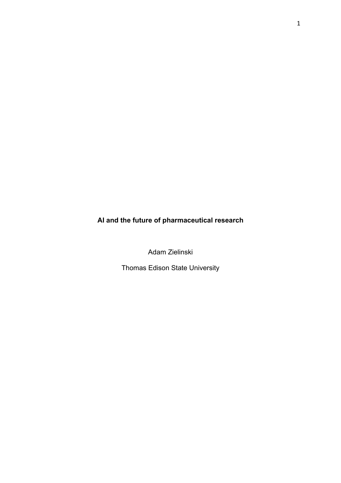# **AI and the future of pharmaceutical research**

Adam Zielinski

Thomas Edison State University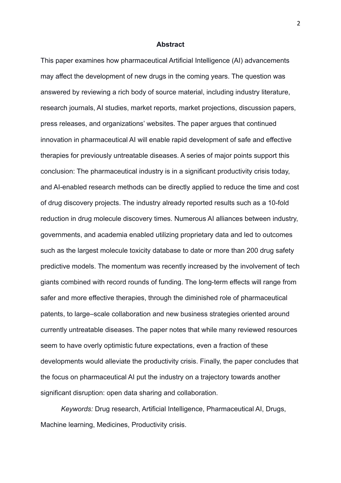#### **Abstract**

This paper examines how pharmaceutical Artificial Intelligence (AI) advancements may affect the development of new drugs in the coming years. The question was answered by reviewing a rich body of source material, including industry literature, research journals, AI studies, market reports, market projections, discussion papers, press releases, and organizations' websites. The paper argues that continued innovation in pharmaceutical AI will enable rapid development of safe and effective therapies for previously untreatable diseases. A series of major points support this conclusion: The pharmaceutical industry is in a significant productivity crisis today, and AI-enabled research methods can be directly applied to reduce the time and cost of drug discovery projects. The industry already reported results such as a 10-fold reduction in drug molecule discovery times. Numerous AI alliances between industry, governments, and academia enabled utilizing proprietary data and led to outcomes such as the largest molecule toxicity database to date or more than 200 drug safety predictive models. The momentum was recently increased by the involvement of tech giants combined with record rounds of funding. The long-term effects will range from safer and more effective therapies, through the diminished role of pharmaceutical patents, to large–scale collaboration and new business strategies oriented around currently untreatable diseases. The paper notes that while many reviewed resources seem to have overly optimistic future expectations, even a fraction of these developments would alleviate the productivity crisis. Finally, the paper concludes that the focus on pharmaceutical AI put the industry on a trajectory towards another significant disruption: open data sharing and collaboration.

*Keywords:* Drug research, Artificial Intelligence, Pharmaceutical AI, Drugs, Machine learning, Medicines, Productivity crisis.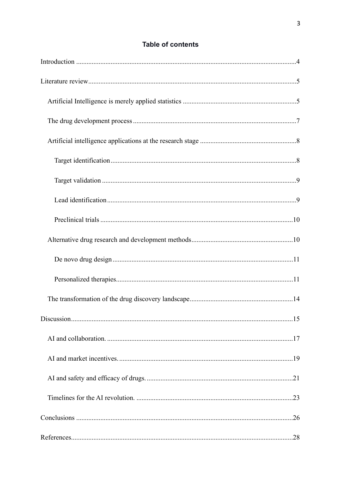# **Table of contents**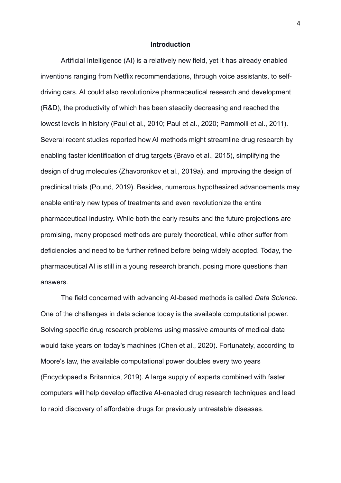#### <span id="page-3-0"></span>**Introduction**

Artificial Intelligence (AI) is a relatively new field, yet it has already enabled inventions ranging from Netflix recommendations, through voice assistants, to selfdriving cars. AI could also revolutionize pharmaceutical research and development (R&D), the productivity of which has been steadily decreasing and reached the lowest levels in history (Paul et al., 2010; Paul et al., 2020; Pammolli et al., 2011). Several recent studies reported how AI methods might streamline drug research by enabling faster identification of drug targets (Bravo et al., 2015), simplifying the design of drug molecules (Zhavoronkov et al., 2019a), and improving the design of preclinical trials (Pound, 2019). Besides, numerous hypothesized advancements may enable entirely new types of treatments and even revolutionize the entire pharmaceutical industry. While both the early results and the future projections are promising, many proposed methods are purely theoretical, while other suffer from deficiencies and need to be further refined before being widely adopted. Today, the pharmaceutical AI is still in a young research branch, posing more questions than answers.

The field concerned with advancing AI-based methods is called *Data Science*. One of the challenges in data science today is the available computational power. Solving specific drug research problems using massive amounts of medical data would take years on today's machines (Chen et al., 2020)**.** Fortunately, according to Moore's law, the available computational power doubles every two years (Encyclopaedia Britannica, 2019). A large supply of experts combined with faster computers will help develop effective AI-enabled drug research techniques and lead to rapid discovery of affordable drugs for previously untreatable diseases.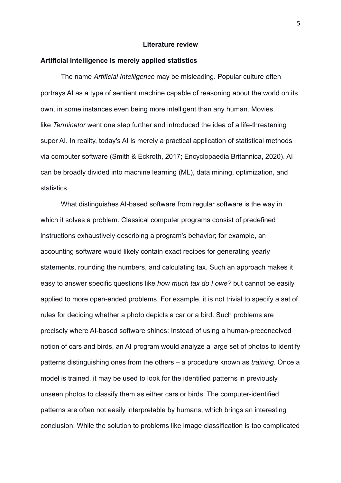# <span id="page-4-0"></span>**Literature review**

# <span id="page-4-1"></span>**Artificial Intelligence is merely applied statistics**

The name *Artificial Intelligence* may be misleading. Popular culture often portrays AI as a type of sentient machine capable of reasoning about the world on its own, in some instances even being more intelligent than any human. Movies like *Terminator* went one step further and introduced the idea of a life-threatening super AI. In reality, today's AI is merely a practical application of statistical methods via computer software (Smith & Eckroth, 2017; Encyclopaedia Britannica, 2020). AI can be broadly divided into machine learning (ML), data mining, optimization, and statistics.

What distinguishes AI-based software from regular software is the way in which it solves a problem. Classical computer programs consist of predefined instructions exhaustively describing a program's behavior; for example, an accounting software would likely contain exact recipes for generating yearly statements, rounding the numbers, and calculating tax. Such an approach makes it easy to answer specific questions like *how much tax do I owe?* but cannot be easily applied to more open-ended problems. For example, it is not trivial to specify a set of rules for deciding whether a photo depicts a car or a bird. Such problems are precisely where AI-based software shines: Instead of using a human-preconceived notion of cars and birds, an AI program would analyze a large set of photos to identify patterns distinguishing ones from the others – a procedure known as *training*. Once a model is trained, it may be used to look for the identified patterns in previously unseen photos to classify them as either cars or birds. The computer-identified patterns are often not easily interpretable by humans, which brings an interesting conclusion: While the solution to problems like image classification is too complicated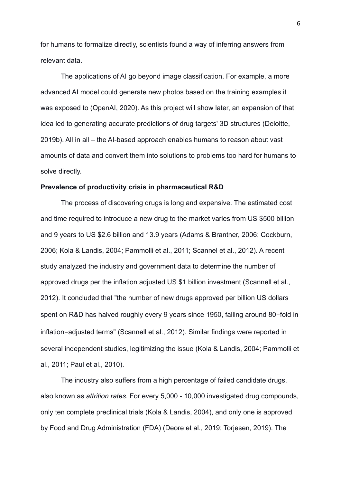for humans to formalize directly, scientists found a way of inferring answers from relevant data.

The applications of AI go beyond image classification. For example, a more advanced AI model could generate new photos based on the training examples it was exposed to (OpenAI, 2020). As this project will show later, an expansion of that idea led to generating accurate predictions of drug targets' 3D structures (Deloitte, 2019b). All in all – the AI-based approach enables humans to reason about vast amounts of data and convert them into solutions to problems too hard for humans to solve directly.

# **Prevalence of productivity crisis in pharmaceutical R&D**

The process of discovering drugs is long and expensive. The estimated cost and time required to introduce a new drug to the market varies from US \$500 billion and 9 years to US \$2.6 billion and 13.9 years (Adams & Brantner, 2006; Cockburn, 2006; Kola & Landis, 2004; Pammolli et al., 2011; Scannel et al., 2012). A recent study analyzed the industry and government data to determine the number of approved drugs per the inflation adjusted US \$1 billion investment (Scannell et al., 2012). It concluded that "the number of new drugs approved per billion US dollars spent on R&D has halved roughly every 9 years since 1950, falling around 80-fold in inflation-adjusted terms" (Scannell et al., 2012). Similar findings were reported in several independent studies, legitimizing the issue (Kola & Landis, 2004; Pammolli et al., 2011; Paul et al., 2010).

The industry also suffers from a high percentage of failed candidate drugs, also known as *attrition rates*. For every 5,000 - 10,000 investigated drug compounds, only ten complete preclinical trials (Kola & Landis, 2004), and only one is approved by Food and Drug Administration (FDA) (Deore et al., 2019; Torjesen, 2019). The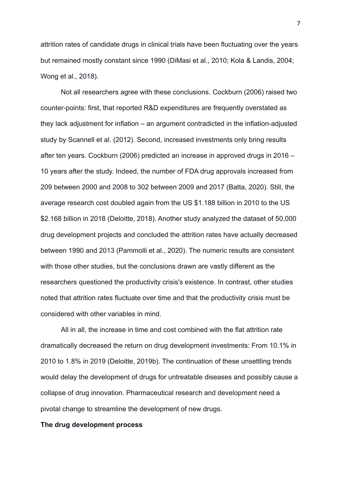attrition rates of candidate drugs in clinical trials have been fluctuating over the years but remained mostly constant since 1990 (DiMasi et al., 2010; Kola & Landis, 2004; Wong et al., 2018).

Not all researchers agree with these conclusions. Cockburn (2006) raised two counter-points: first, that reported R&D expenditures are frequently overstated as they lack adjustment for inflation – an argument contradicted in the inflation-adjusted study by Scannell et al. (2012). Second, increased investments only bring results after ten years. Cockburn (2006) predicted an increase in approved drugs in 2016 – 10 years after the study. Indeed, the number of FDA drug approvals increased from 209 between 2000 and 2008 to 302 between 2009 and 2017 (Batta, 2020). Still, the average research cost doubled again from the US \$1.188 billion in 2010 to the US \$2.168 billion in 2018 (Deloitte, 2018). Another study analyzed the dataset of 50,000 drug development projects and concluded the attrition rates have actually decreased between 1990 and 2013 (Pammolli et al., 2020). The numeric results are consistent with those other studies, but the conclusions drawn are vastly different as the researchers questioned the productivity crisis's existence. In contrast, other studies noted that attrition rates fluctuate over time and that the productivity crisis must be considered with other variables in mind.

All in all, the increase in time and cost combined with the flat attrition rate dramatically decreased the return on drug development investments: From 10.1% in 2010 to 1.8% in 2019 (Deloitte, 2019b). The continuation of these unsettling trends would delay the development of drugs for untreatable diseases and possibly cause a collapse of drug innovation. Pharmaceutical research and development need a pivotal change to streamline the development of new drugs.

# <span id="page-6-0"></span>**The drug development process**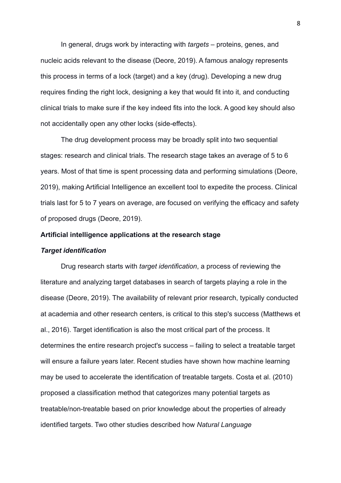In general, drugs work by interacting with *targets* – proteins, genes, and nucleic acids relevant to the disease (Deore, 2019). A famous analogy represents this process in terms of a lock (target) and a key (drug). Developing a new drug requires finding the right lock, designing a key that would fit into it, and conducting clinical trials to make sure if the key indeed fits into the lock. A good key should also not accidentally open any other locks (side-effects).

The drug development process may be broadly split into two sequential stages: research and clinical trials. The research stage takes an average of 5 to 6 years. Most of that time is spent processing data and performing simulations (Deore, 2019), making Artificial Intelligence an excellent tool to expedite the process. Clinical trials last for 5 to 7 years on average, are focused on verifying the efficacy and safety of proposed drugs (Deore, 2019).

#### <span id="page-7-0"></span>**Artificial intelligence applications at the research stage**

#### <span id="page-7-1"></span>*Target identification*

Drug research starts with *target identification*, a process of reviewing the literature and analyzing target databases in search of targets playing a role in the disease (Deore, 2019). The availability of relevant prior research, typically conducted at academia and other research centers, is critical to this step's success (Matthews et al., 2016). Target identification is also the most critical part of the process. It determines the entire research project's success – failing to select a treatable target will ensure a failure years later. Recent studies have shown how machine learning may be used to accelerate the identification of treatable targets. Costa et al. (2010) proposed a classification method that categorizes many potential targets as treatable/non-treatable based on prior knowledge about the properties of already identified targets. Two other studies described how *Natural Language*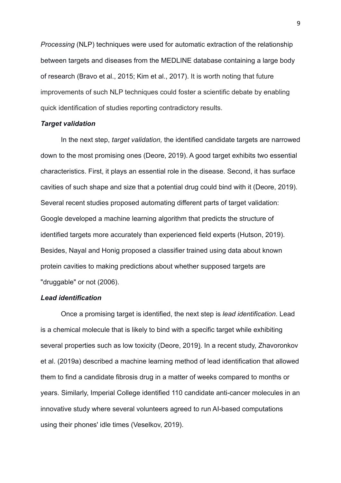*Processing* (NLP) techniques were used for automatic extraction of the relationship between targets and diseases from the MEDLINE database containing a large body of research (Bravo et al., 2015; Kim et al., 2017). It is worth noting that future improvements of such NLP techniques could foster a scientific debate by enabling quick identification of studies reporting contradictory results.

#### <span id="page-8-0"></span>*Target validation*

In the next step, *target validation,* the identified candidate targets are narrowed down to the most promising ones (Deore, 2019). A good target exhibits two essential characteristics. First, it plays an essential role in the disease. Second, it has surface cavities of such shape and size that a potential drug could bind with it (Deore, 2019). Several recent studies proposed automating different parts of target validation: Google developed a machine learning algorithm that predicts the structure of identified targets more accurately than experienced field experts (Hutson, 2019). Besides, Nayal and Honig proposed a classifier trained using data about known protein cavities to making predictions about whether supposed targets are "druggable" or not (2006).

# <span id="page-8-1"></span>*Lead identification*

Once a promising target is identified, the next step is *lead identification*. Lead is a chemical molecule that is likely to bind with a specific target while exhibiting several properties such as low toxicity (Deore, 2019). In a recent study, Zhavoronkov et al. (2019a) described a machine learning method of lead identification that allowed them to find a candidate fibrosis drug in a matter of weeks compared to months or years. Similarly, Imperial College identified 110 candidate anti-cancer molecules in an innovative study where several volunteers agreed to run AI-based computations using their phones' idle times (Veselkov, 2019).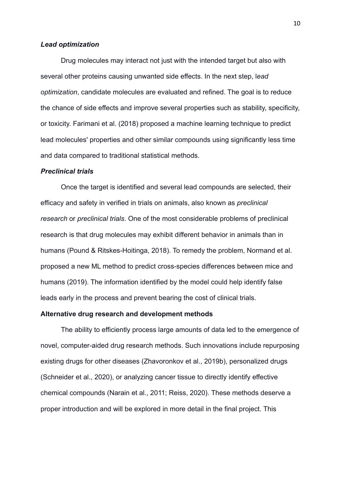#### *Lead optimization*

Drug molecules may interact not just with the intended target but also with several other proteins causing unwanted side effects. In the next step, l*ead optimization*, candidate molecules are evaluated and refined. The goal is to reduce the chance of side effects and improve several properties such as stability, specificity, or toxicity. Farimani et al. (2018) proposed a machine learning technique to predict lead molecules' properties and other similar compounds using significantly less time and data compared to traditional statistical methods.

### <span id="page-9-0"></span>*Preclinical trials*

Once the target is identified and several lead compounds are selected, their efficacy and safety in verified in trials on animals, also known as *preclinical research* or *preclinical trials*. One of the most considerable problems of preclinical research is that drug molecules may exhibit different behavior in animals than in humans (Pound & Ritskes-Hoitinga, 2018). To remedy the problem, Normand et al. proposed a new ML method to predict cross-species differences between mice and humans (2019). The information identified by the model could help identify false leads early in the process and prevent bearing the cost of clinical trials.

#### <span id="page-9-1"></span>**Alternative drug research and development methods**

The ability to efficiently process large amounts of data led to the emergence of novel, computer-aided drug research methods. Such innovations include repurposing existing drugs for other diseases (Zhavoronkov et al., 2019b), personalized drugs (Schneider et al., 2020), or analyzing cancer tissue to directly identify effective chemical compounds (Narain et al., 2011; Reiss, 2020). These methods deserve a proper introduction and will be explored in more detail in the final project. This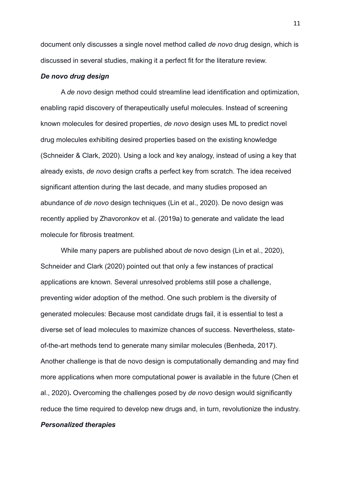document only discusses a single novel method called *de novo* drug design, which is discussed in several studies, making it a perfect fit for the literature review.

# <span id="page-10-0"></span>*De novo drug design*

A *de novo* design method could streamline lead identification and optimization, enabling rapid discovery of therapeutically useful molecules. Instead of screening known molecules for desired properties, *de novo* design uses ML to predict novel drug molecules exhibiting desired properties based on the existing knowledge (Schneider & Clark, 2020). Using a lock and key analogy, instead of using a key that already exists, *de novo* design crafts a perfect key from scratch. The idea received significant attention during the last decade, and many studies proposed an abundance of *de novo* design techniques (Lin et al., 2020). De novo design was recently applied by Zhavoronkov et al. (2019a) to generate and validate the lead molecule for fibrosis treatment.

While many papers are published about *de* novo design (Lin et al., 2020), Schneider and Clark (2020) pointed out that only a few instances of practical applications are known. Several unresolved problems still pose a challenge, preventing wider adoption of the method. One such problem is the diversity of generated molecules: Because most candidate drugs fail, it is essential to test a diverse set of lead molecules to maximize chances of success. Nevertheless, stateof-the-art methods tend to generate many similar molecules (Benheda, 2017). Another challenge is that de novo design is computationally demanding and may find more applications when more computational power is available in the future (Chen et al., 2020)**.** Overcoming the challenges posed by *de novo* design would significantly reduce the time required to develop new drugs and, in turn, revolutionize the industry.

# <span id="page-10-1"></span>*Personalized therapies*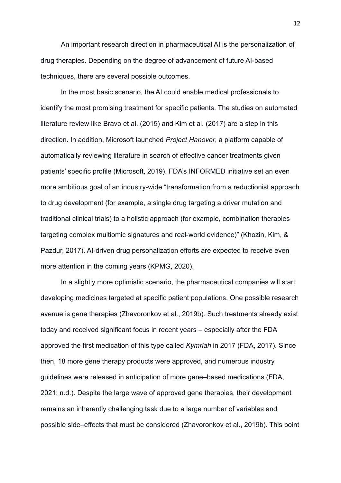An important research direction in pharmaceutical AI is the personalization of drug therapies. Depending on the degree of advancement of future AI-based techniques, there are several possible outcomes.

In the most basic scenario, the AI could enable medical professionals to identify the most promising treatment for specific patients. The studies on automated literature review like Bravo et al. (2015) and Kim et al. (2017) are a step in this direction. In addition, Microsoft launched *Project Hanover*, a platform capable of automatically reviewing literature in search of effective cancer treatments given patients' specific profile (Microsoft, 2019). FDA's INFORMED initiative set an even more ambitious goal of an industry-wide "transformation from a reductionist approach to drug development (for example, a single drug targeting a driver mutation and traditional clinical trials) to a holistic approach (for example, combination therapies targeting complex multiomic signatures and real-world evidence)" (Khozin, Kim, & Pazdur, 2017). AI-driven drug personalization efforts are expected to receive even more attention in the coming years (KPMG, 2020).

In a slightly more optimistic scenario, the pharmaceutical companies will start developing medicines targeted at specific patient populations. One possible research avenue is gene therapies (Zhavoronkov et al., 2019b). Such treatments already exist today and received significant focus in recent years – especially after the FDA approved the first medication of this type called *Kymriah* in 2017 (FDA, 2017). Since then, 18 more gene therapy products were approved, and numerous industry guidelines were released in anticipation of more gene–based medications (FDA, 2021; n.d.). Despite the large wave of approved gene therapies, their development remains an inherently challenging task due to a large number of variables and possible side–effects that must be considered (Zhavoronkov et al., 2019b). This point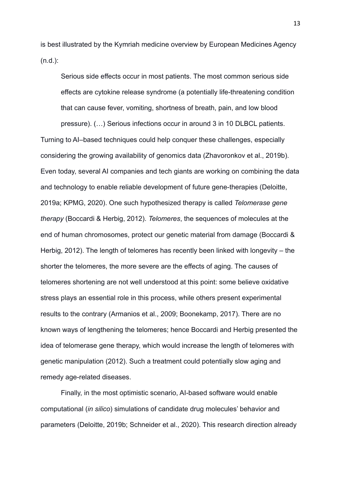is best illustrated by the Kymriah medicine overview by European Medicines Agency (n.d.):

Serious side effects occur in most patients. The most common serious side effects are cytokine release syndrome (a potentially life-threatening condition that can cause fever, vomiting, shortness of breath, pain, and low blood

pressure). (…) Serious infections occur in around 3 in 10 DLBCL patients. Turning to AI–based techniques could help conquer these challenges, especially considering the growing availability of genomics data (Zhavoronkov et al., 2019b). Even today, several AI companies and tech giants are working on combining the data and technology to enable reliable development of future gene-therapies (Deloitte, 2019a; KPMG, 2020). One such hypothesized therapy is called *Telomerase gene therapy* (Boccardi & Herbig, 2012). *Telomeres*, the sequences of molecules at the end of human chromosomes, protect our genetic material from damage (Boccardi & Herbig, 2012). The length of telomeres has recently been linked with longevity – the shorter the telomeres, the more severe are the effects of aging. The causes of telomeres shortening are not well understood at this point: some believe oxidative stress plays an essential role in this process, while others present experimental results to the contrary (Armanios et al., 2009; Boonekamp, 2017). There are no known ways of lengthening the telomeres; hence Boccardi and Herbig presented the idea of telomerase gene therapy, which would increase the length of telomeres with genetic manipulation (2012). Such a treatment could potentially slow aging and remedy age-related diseases.

Finally, in the most optimistic scenario, AI-based software would enable computational (*in silico*) simulations of candidate drug molecules' behavior and parameters (Deloitte, 2019b; Schneider et al., 2020). This research direction already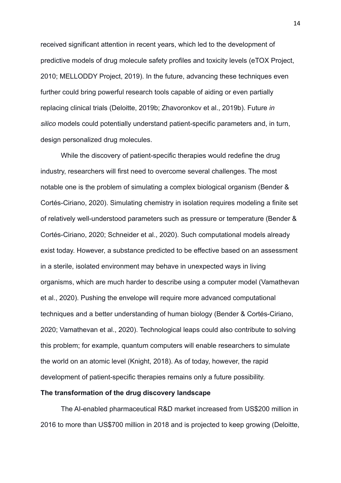received significant attention in recent years, which led to the development of predictive models of drug molecule safety profiles and toxicity levels (eTOX Project, 2010; MELLODDY Project, 2019). In the future, advancing these techniques even further could bring powerful research tools capable of aiding or even partially replacing clinical trials (Deloitte, 2019b; Zhavoronkov et al., 2019b). Future *in silico* models could potentially understand patient-specific parameters and, in turn, design personalized drug molecules.

While the discovery of patient-specific therapies would redefine the drug industry, researchers will first need to overcome several challenges. The most notable one is the problem of simulating a complex biological organism (Bender & Cortés-Ciriano, 2020). Simulating chemistry in isolation requires modeling a finite set of relatively well-understood parameters such as pressure or temperature (Bender & Cortés-Ciriano, 2020; Schneider et al., 2020). Such computational models already exist today. However, a substance predicted to be effective based on an assessment in a sterile, isolated environment may behave in unexpected ways in living organisms, which are much harder to describe using a computer model (Vamathevan et al., 2020). Pushing the envelope will require more advanced computational techniques and a better understanding of human biology (Bender & Cortés-Ciriano, 2020; Vamathevan et al., 2020). Technological leaps could also contribute to solving this problem; for example, quantum computers will enable researchers to simulate the world on an atomic level (Knight, 2018). As of today, however, the rapid development of patient-specific therapies remains only a future possibility.

# <span id="page-13-0"></span>**The transformation of the drug discovery landscape**

The AI-enabled pharmaceutical R&D market increased from US\$200 million in 2016 to more than US\$700 million in 2018 and is projected to keep growing (Deloitte,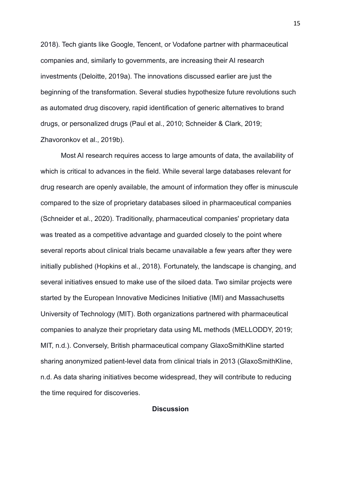2018). Tech giants like Google, Tencent, or Vodafone partner with pharmaceutical companies and, similarly to governments, are increasing their AI research investments (Deloitte, 2019a). The innovations discussed earlier are just the beginning of the transformation. Several studies hypothesize future revolutions such as automated drug discovery, rapid identification of generic alternatives to brand drugs, or personalized drugs (Paul et al., 2010; Schneider & Clark, 2019; Zhavoronkov et al., 2019b).

Most AI research requires access to large amounts of data, the availability of which is critical to advances in the field. While several large databases relevant for drug research are openly available, the amount of information they offer is minuscule compared to the size of proprietary databases siloed in pharmaceutical companies (Schneider et al., 2020). Traditionally, pharmaceutical companies' proprietary data was treated as a competitive advantage and guarded closely to the point where several reports about clinical trials became unavailable a few years after they were initially published (Hopkins et al., 2018). Fortunately, the landscape is changing, and several initiatives ensued to make use of the siloed data. Two similar projects were started by the European Innovative Medicines Initiative (IMI) and Massachusetts University of Technology (MIT). Both organizations partnered with pharmaceutical companies to analyze their proprietary data using ML methods (MELLODDY, 2019; MIT, n.d.). Conversely, British pharmaceutical company GlaxoSmithKline started sharing anonymized patient-level data from clinical trials in 2013 (GlaxoSmithKline, n.d. As data sharing initiatives become widespread, they will contribute to reducing the time required for discoveries.

<span id="page-14-0"></span>**Discussion**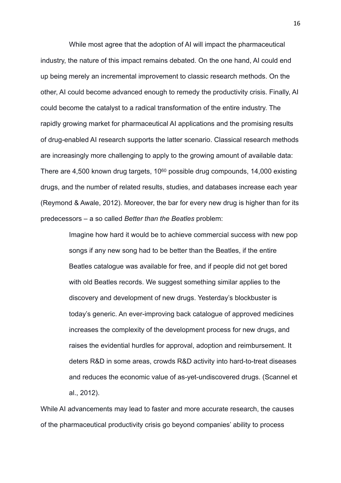While most agree that the adoption of AI will impact the pharmaceutical industry, the nature of this impact remains debated. On the one hand, AI could end up being merely an incremental improvement to classic research methods. On the other, AI could become advanced enough to remedy the productivity crisis. Finally, AI could become the catalyst to a radical transformation of the entire industry. The rapidly growing market for pharmaceutical AI applications and the promising results of drug-enabled AI research supports the latter scenario. Classical research methods are increasingly more challenging to apply to the growing amount of available data: There are 4,500 known drug targets,  $10^{60}$  possible drug compounds, 14,000 existing drugs, and the number of related results, studies, and databases increase each year (Reymond & Awale, 2012). Moreover, the bar for every new drug is higher than for its predecessors – a so called *Better than the Beatles* problem:

> Imagine how hard it would be to achieve commercial success with new pop songs if any new song had to be better than the Beatles, if the entire Beatles catalogue was available for free, and if people did not get bored with old Beatles records. We suggest something similar applies to the discovery and development of new drugs. Yesterday's blockbuster is today's generic. An ever-improving back catalogue of approved medicines increases the complexity of the development process for new drugs, and raises the evidential hurdles for approval, adoption and reimbursement. It deters R&D in some areas, crowds R&D activity into hard-to-treat diseases and reduces the economic value of as-yet-undiscovered drugs. (Scannel et al., 2012).

While AI advancements may lead to faster and more accurate research, the causes of the pharmaceutical productivity crisis go beyond companies' ability to process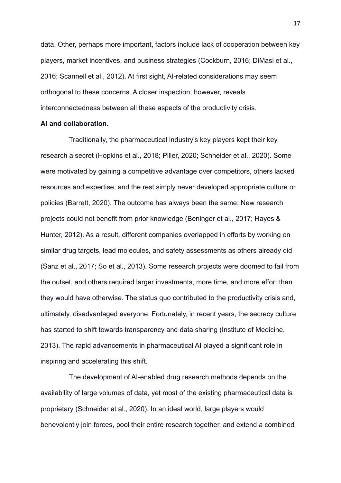data. Other, perhaps more important, factors include lack of cooperation between key players, market incentives, and business strategies (Cockburn, 2016; DiMasi et al., 2016; Scannell et al., 2012). At first sight, AI-related considerations may seem orthogonal to these concerns. A closer inspection, however, reveals interconnectedness between all these aspects of the productivity crisis.

# <span id="page-16-0"></span>**AI and collaboration.**

Traditionally, the pharmaceutical industry's key players kept their key research a secret (Hopkins et al., 2018; Piller, 2020; Schneider et al., 2020). Some were motivated by gaining a competitive advantage over competitors, others lacked resources and expertise, and the rest simply never developed appropriate culture or policies (Barrett, 2020). The outcome has always been the same: New research projects could not benefit from prior knowledge (Beninger et al., 2017; Hayes & Hunter, 2012). As a result, different companies overlapped in efforts by working on similar drug targets, lead molecules, and safety assessments as others already did (Sanz et al., 2017; So et al., 2013). Some research projects were doomed to fail from the outset, and others required larger investments, more time, and more effort than they would have otherwise. The status quo contributed to the productivity crisis and, ultimately, disadvantaged everyone. Fortunately, in recent years, the secrecy culture has started to shift towards transparency and data sharing (Institute of Medicine, 2013). The rapid advancements in pharmaceutical AI played a significant role in inspiring and accelerating this shift.

The development of AI-enabled drug research methods depends on the availability of large volumes of data, yet most of the existing pharmaceutical data is proprietary (Schneider et al., 2020). In an ideal world, large players would benevolently join forces, pool their entire research together, and extend a combined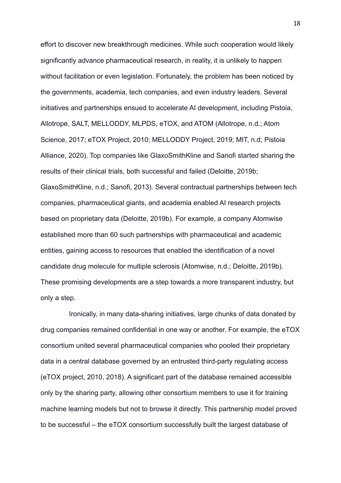effort to discover new breakthrough medicines. While such cooperation would likely significantly advance pharmaceutical research, in reality, it is unlikely to happen without facilitation or even legislation. Fortunately, the problem has been noticed by the governments, academia, tech companies, and even industry leaders. Several initiatives and partnerships ensued to accelerate AI development, including Pistoia, Allotrope, SALT, MELLODDY, MLPDS, eTOX, and ATOM (Allotrope, n.d.; Atom Science, 2017; eTOX Project, 2010; MELLODDY Project, 2019; MIT, n.d; Pistoia Alliance, 2020). Top companies like GlaxoSmithKline and Sanofi started sharing the results of their clinical trials, both successful and failed (Deloitte, 2019b; GlaxoSmithKline, n.d.; Sanofi, 2013). Several contractual partnerships between tech companies, pharmaceutical giants, and academia enabled AI research projects based on proprietary data (Deloitte, 2019b). For example, a company Atomwise established more than 60 such partnerships with pharmaceutical and academic entities, gaining access to resources that enabled the identification of a novel candidate drug molecule for multiple sclerosis (Atomwise, n.d.; Deloitte, 2019b). These promising developments are a step towards a more transparent industry, but only a step.

Ironically, in many data-sharing initiatives, large chunks of data donated by drug companies remained confidential in one way or another. For example, the eTOX consortium united several pharmaceutical companies who pooled their proprietary data in a central database governed by an entrusted third-party regulating access (eTOX project, 2010, 2018). A significant part of the database remained accessible only by the sharing party, allowing other consortium members to use it for training machine learning models but not to browse it directly. This partnership model proved to be successful – the eTOX consortium successfully built the largest database of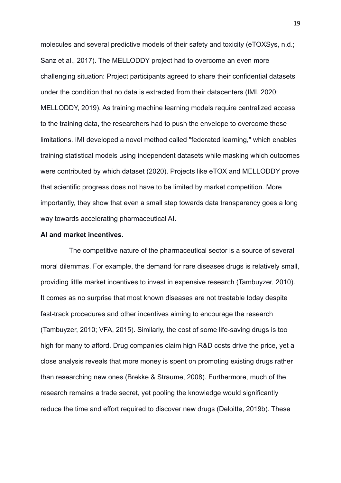molecules and several predictive models of their safety and toxicity (eTOXSys, n.d.; Sanz et al., 2017). The MELLODDY project had to overcome an even more challenging situation: Project participants agreed to share their confidential datasets under the condition that no data is extracted from their datacenters (IMI, 2020; MELLODDY, 2019). As training machine learning models require centralized access to the training data, the researchers had to push the envelope to overcome these limitations. IMI developed a novel method called "federated learning," which enables training statistical models using independent datasets while masking which outcomes were contributed by which dataset (2020). Projects like eTOX and MELLODDY prove that scientific progress does not have to be limited by market competition. More importantly, they show that even a small step towards data transparency goes a long way towards accelerating pharmaceutical AI.

#### <span id="page-18-0"></span>**AI and market incentives.**

The competitive nature of the pharmaceutical sector is a source of several moral dilemmas. For example, the demand for rare diseases drugs is relatively small, providing little market incentives to invest in expensive research (Tambuyzer, 2010). It comes as no surprise that most known diseases are not treatable today despite fast-track procedures and other incentives aiming to encourage the research (Tambuyzer, 2010; VFA, 2015). Similarly, the cost of some life-saving drugs is too high for many to afford. Drug companies claim high R&D costs drive the price, yet a close analysis reveals that more money is spent on promoting existing drugs rather than researching new ones (Brekke & Straume, 2008). Furthermore, much of the research remains a trade secret, yet pooling the knowledge would significantly reduce the time and effort required to discover new drugs (Deloitte, 2019b). These

19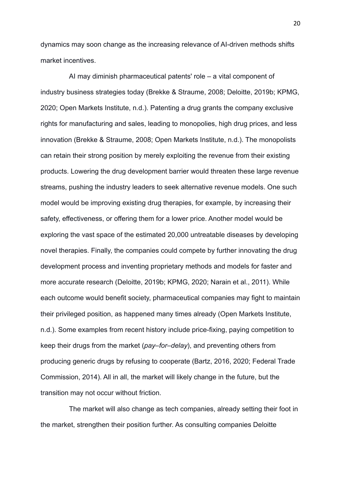dynamics may soon change as the increasing relevance of AI-driven methods shifts market incentives.

AI may diminish pharmaceutical patents' role – a vital component of industry business strategies today (Brekke & Straume, 2008; Deloitte, 2019b; KPMG, 2020; Open Markets Institute, n.d.). Patenting a drug grants the company exclusive rights for manufacturing and sales, leading to monopolies, high drug prices, and less innovation (Brekke & Straume, 2008; Open Markets Institute, n.d.). The monopolists can retain their strong position by merely exploiting the revenue from their existing products. Lowering the drug development barrier would threaten these large revenue streams, pushing the industry leaders to seek alternative revenue models. One such model would be improving existing drug therapies, for example, by increasing their safety, effectiveness, or offering them for a lower price. Another model would be exploring the vast space of the estimated 20,000 untreatable diseases by developing novel therapies. Finally, the companies could compete by further innovating the drug development process and inventing proprietary methods and models for faster and more accurate research (Deloitte, 2019b; KPMG, 2020; Narain et al., 2011). While each outcome would benefit society, pharmaceutical companies may fight to maintain their privileged position, as happened many times already (Open Markets Institute, n.d.). Some examples from recent history include price-fixing, paying competition to keep their drugs from the market (*pay–for–delay*), and preventing others from producing generic drugs by refusing to cooperate (Bartz, 2016, 2020; Federal Trade Commission, 2014). All in all, the market will likely change in the future, but the transition may not occur without friction.

The market will also change as tech companies, already setting their foot in the market, strengthen their position further. As consulting companies Deloitte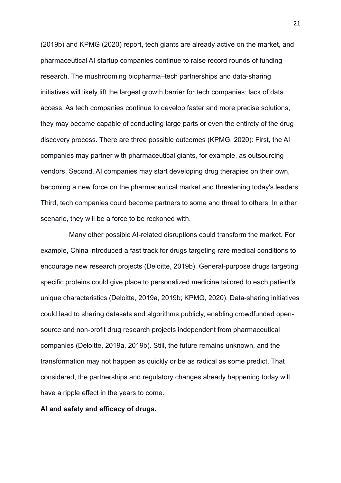(2019b) and KPMG (2020) report, tech giants are already active on the market, and pharmaceutical AI startup companies continue to raise record rounds of funding research. The mushrooming biopharma–tech partnerships and data-sharing initiatives will likely lift the largest growth barrier for tech companies: lack of data access. As tech companies continue to develop faster and more precise solutions, they may become capable of conducting large parts or even the entirety of the drug discovery process. There are three possible outcomes (KPMG, 2020): First, the AI companies may partner with pharmaceutical giants, for example, as outsourcing vendors. Second, AI companies may start developing drug therapies on their own, becoming a new force on the pharmaceutical market and threatening today's leaders. Third, tech companies could become partners to some and threat to others. In either scenario, they will be a force to be reckoned with.

Many other possible AI-related disruptions could transform the market. For example, China introduced a fast track for drugs targeting rare medical conditions to encourage new research projects (Deloitte, 2019b). General-purpose drugs targeting specific proteins could give place to personalized medicine tailored to each patient's unique characteristics (Deloitte, 2019a, 2019b; KPMG, 2020). Data-sharing initiatives could lead to sharing datasets and algorithms publicly, enabling crowdfunded opensource and non-profit drug research projects independent from pharmaceutical companies (Deloitte, 2019a, 2019b). Still, the future remains unknown, and the transformation may not happen as quickly or be as radical as some predict. That considered, the partnerships and regulatory changes already happening today will have a ripple effect in the years to come.

# <span id="page-20-0"></span>**AI and safety and efficacy of drugs.**

21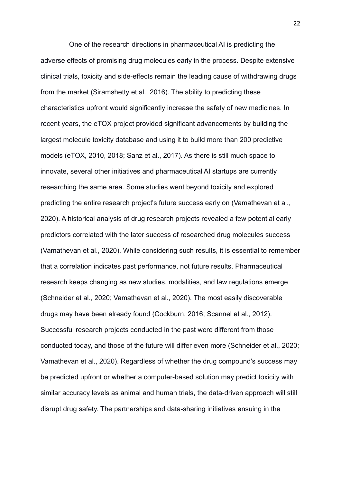One of the research directions in pharmaceutical AI is predicting the adverse effects of promising drug molecules early in the process. Despite extensive clinical trials, toxicity and side-effects remain the leading cause of withdrawing drugs from the market (Siramshetty et al., 2016). The ability to predicting these characteristics upfront would significantly increase the safety of new medicines. In recent years, the eTOX project provided significant advancements by building the largest molecule toxicity database and using it to build more than 200 predictive models (eTOX, 2010, 2018; Sanz et al., 2017). As there is still much space to innovate, several other initiatives and pharmaceutical AI startups are currently researching the same area. Some studies went beyond toxicity and explored predicting the entire research project's future success early on (Vamathevan et al., 2020). A historical analysis of drug research projects revealed a few potential early predictors correlated with the later success of researched drug molecules success (Vamathevan et al., 2020). While considering such results, it is essential to remember that a correlation indicates past performance, not future results. Pharmaceutical research keeps changing as new studies, modalities, and law regulations emerge (Schneider et al., 2020; Vamathevan et al., 2020). The most easily discoverable drugs may have been already found (Cockburn, 2016; Scannel et al., 2012). Successful research projects conducted in the past were different from those conducted today, and those of the future will differ even more (Schneider et al., 2020; Vamathevan et al., 2020). Regardless of whether the drug compound's success may be predicted upfront or whether a computer-based solution may predict toxicity with similar accuracy levels as animal and human trials, the data-driven approach will still disrupt drug safety. The partnerships and data-sharing initiatives ensuing in the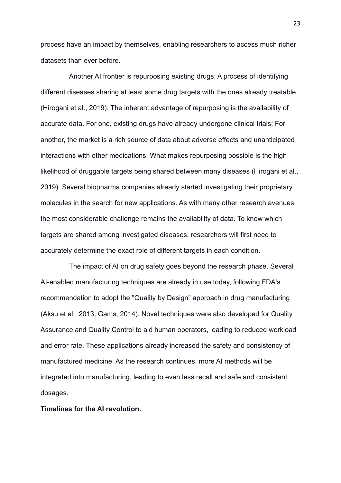process have an impact by themselves, enabling researchers to access much richer datasets than ever before.

Another AI frontier is repurposing existing drugs: A process of identifying different diseases sharing at least some drug targets with the ones already treatable (Hirogani et al., 2019). The inherent advantage of repurposing is the availability of accurate data. For one, existing drugs have already undergone clinical trials; For another, the market is a rich source of data about adverse effects and unanticipated interactions with other medications. What makes repurposing possible is the high likelihood of druggable targets being shared between many diseases (Hirogani et al., 2019). Several biopharma companies already started investigating their proprietary molecules in the search for new applications. As with many other research avenues, the most considerable challenge remains the availability of data. To know which targets are shared among investigated diseases, researchers will first need to accurately determine the exact role of different targets in each condition.

The impact of AI on drug safety goes beyond the research phase. Several AI-enabled manufacturing techniques are already in use today, following FDA's recommendation to adopt the "Quality by Design" approach in drug manufacturing (Aksu et al., 2013; Gams, 2014). Novel techniques were also developed for Quality Assurance and Quality Control to aid human operators, leading to reduced workload and error rate. These applications already increased the safety and consistency of manufactured medicine. As the research continues, more AI methods will be integrated into manufacturing, leading to even less recall and safe and consistent dosages.

<span id="page-22-0"></span>**Timelines for the AI revolution.**

23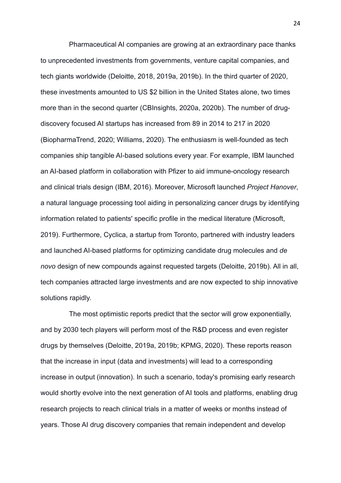Pharmaceutical AI companies are growing at an extraordinary pace thanks to unprecedented investments from governments, venture capital companies, and tech giants worldwide (Deloitte, 2018, 2019a, 2019b). In the third quarter of 2020, these investments amounted to US \$2 billion in the United States alone, two times more than in the second quarter (CBInsights, 2020a, 2020b). The number of drugdiscovery focused AI startups has increased from 89 in 2014 to 217 in 2020 (BiopharmaTrend, 2020; Williams, 2020). The enthusiasm is well-founded as tech companies ship tangible AI-based solutions every year. For example, IBM launched an AI-based platform in collaboration with Pfizer to aid immune-oncology research and clinical trials design (IBM, 2016). Moreover, Microsoft launched *Project Hanover*, a natural language processing tool aiding in personalizing cancer drugs by identifying information related to patients' specific profile in the medical literature (Microsoft, 2019). Furthermore, Cyclica, a startup from Toronto, partnered with industry leaders and launched AI-based platforms for optimizing candidate drug molecules and *de novo* design of new compounds against requested targets (Deloitte, 2019b). All in all, tech companies attracted large investments and are now expected to ship innovative solutions rapidly.

The most optimistic reports predict that the sector will grow exponentially, and by 2030 tech players will perform most of the R&D process and even register drugs by themselves (Deloitte, 2019a, 2019b; KPMG, 2020). These reports reason that the increase in input (data and investments) will lead to a corresponding increase in output (innovation). In such a scenario, today's promising early research would shortly evolve into the next generation of AI tools and platforms, enabling drug research projects to reach clinical trials in a matter of weeks or months instead of years. Those AI drug discovery companies that remain independent and develop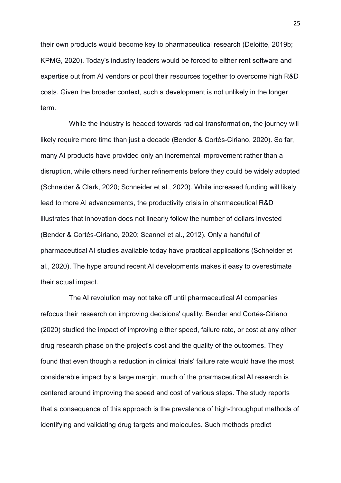their own products would become key to pharmaceutical research (Deloitte, 2019b; KPMG, 2020). Today's industry leaders would be forced to either rent software and expertise out from AI vendors or pool their resources together to overcome high R&D costs. Given the broader context, such a development is not unlikely in the longer term.

While the industry is headed towards radical transformation, the journey will likely require more time than just a decade (Bender & Cortés-Ciriano, 2020). So far, many AI products have provided only an incremental improvement rather than a disruption, while others need further refinements before they could be widely adopted (Schneider & Clark, 2020; Schneider et al., 2020). While increased funding will likely lead to more AI advancements, the productivity crisis in pharmaceutical R&D illustrates that innovation does not linearly follow the number of dollars invested (Bender & Cortés-Ciriano, 2020; Scannel et al., 2012). Only a handful of pharmaceutical AI studies available today have practical applications (Schneider et al., 2020). The hype around recent AI developments makes it easy to overestimate their actual impact.

The AI revolution may not take off until pharmaceutical AI companies refocus their research on improving decisions' quality. Bender and Cortés-Ciriano (2020) studied the impact of improving either speed, failure rate, or cost at any other drug research phase on the project's cost and the quality of the outcomes. They found that even though a reduction in clinical trials' failure rate would have the most considerable impact by a large margin, much of the pharmaceutical AI research is centered around improving the speed and cost of various steps. The study reports that a consequence of this approach is the prevalence of high-throughput methods of identifying and validating drug targets and molecules. Such methods predict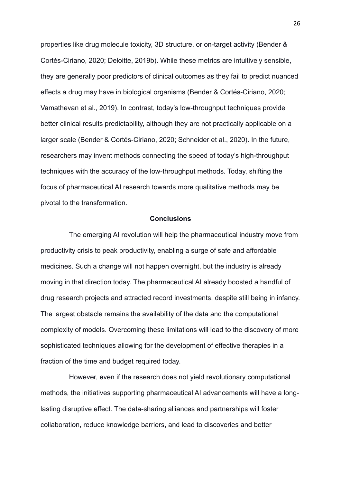properties like drug molecule toxicity, 3D structure, or on-target activity (Bender & Cortés-Ciriano, 2020; Deloitte, 2019b). While these metrics are intuitively sensible, they are generally poor predictors of clinical outcomes as they fail to predict nuanced effects a drug may have in biological organisms (Bender & Cortés-Ciriano, 2020; Vamathevan et al., 2019). In contrast, today's low-throughput techniques provide better clinical results predictability, although they are not practically applicable on a larger scale (Bender & Cortés-Ciriano, 2020; Schneider et al., 2020). In the future, researchers may invent methods connecting the speed of today's high-throughput techniques with the accuracy of the low-throughput methods. Today, shifting the focus of pharmaceutical AI research towards more qualitative methods may be pivotal to the transformation.

#### <span id="page-25-0"></span>**Conclusions**

The emerging AI revolution will help the pharmaceutical industry move from productivity crisis to peak productivity, enabling a surge of safe and affordable medicines. Such a change will not happen overnight, but the industry is already moving in that direction today. The pharmaceutical AI already boosted a handful of drug research projects and attracted record investments, despite still being in infancy. The largest obstacle remains the availability of the data and the computational complexity of models. Overcoming these limitations will lead to the discovery of more sophisticated techniques allowing for the development of effective therapies in a fraction of the time and budget required today.

However, even if the research does not yield revolutionary computational methods, the initiatives supporting pharmaceutical AI advancements will have a longlasting disruptive effect. The data-sharing alliances and partnerships will foster collaboration, reduce knowledge barriers, and lead to discoveries and better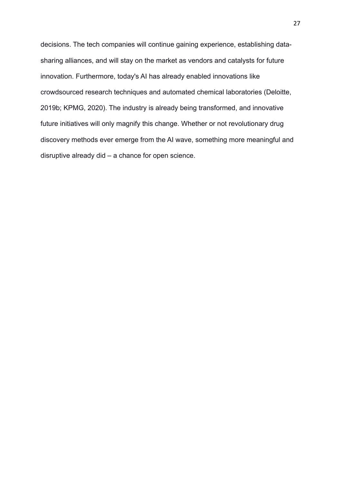decisions. The tech companies will continue gaining experience, establishing datasharing alliances, and will stay on the market as vendors and catalysts for future innovation. Furthermore, today's AI has already enabled innovations like crowdsourced research techniques and automated chemical laboratories (Deloitte, 2019b; KPMG, 2020). The industry is already being transformed, and innovative future initiatives will only magnify this change. Whether or not revolutionary drug discovery methods ever emerge from the AI wave, something more meaningful and disruptive already did – a chance for open science.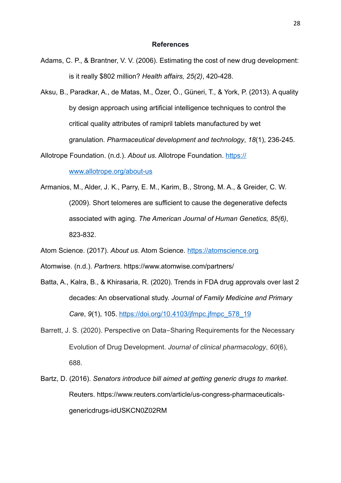#### <span id="page-27-0"></span>**References**

- Adams, C. P., & Brantner, V. V. (2006). Estimating the cost of new drug development: is it really \$802 million? *Health affairs, 25(2)*, 420-428.
- Aksu, B., Paradkar, A., de Matas, M., Özer, Ö., Güneri, T., & York, P. (2013). A quality by design approach using artificial intelligence techniques to control the critical quality attributes of ramipril tablets manufactured by wet granulation. *Pharmaceutical development and technology*, *18*(1), 236-245.

Allotrope Foundation. (n.d.). *About us.* Allotrope Foundation. [https://](https://www.allotrope.org/about-us)

[www.allotrope.org/about-us](https://www.allotrope.org/about-us)

Armanios, M., Alder, J. K., Parry, E. M., Karim, B., Strong, M. A., & Greider, C. W. (2009). Short telomeres are sufficient to cause the degenerative defects associated with aging. *The American Journal of Human Genetics, 85(6)*, 823-832.

Atom Science. (2017). *About us.* Atom Science. <https://atomscience.org>

Atomwise. (n.d.). *Partners.* https://www.atomwise.com/partners/

- Batta, A., Kalra, B., & Khirasaria, R. (2020). Trends in FDA drug approvals over last 2 decades: An observational study. *Journal of Family Medicine and Primary Care*, *9*(1), 105. [https://doi.org/10.4103/jfmpc.jfmpc\\_578\\_19](https://doi.org/10.4103/jfmpc.jfmpc_578_19)
- Barrett, J. S. (2020). Perspective on Data-Sharing Requirements for the Necessary Evolution of Drug Development. *Journal of clinical pharmacology*, *60*(6), 688.
- Bartz, D. (2016). *Senators introduce bill aimed at getting generic drugs to market*. Reuters. [https://www.reuters.com/article/us-congress-pharmaceuticals](https://www.reuters.com/article/us-congress-pharmaceuticals-genericdrugs-idUSKCN0Z02RM)[genericdrugs-idUSKCN0Z02RM](https://www.reuters.com/article/us-congress-pharmaceuticals-genericdrugs-idUSKCN0Z02RM)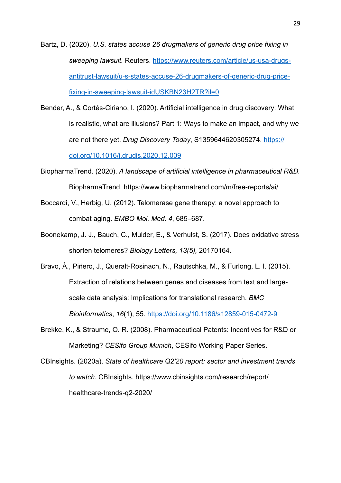Bartz, D. (2020). *U.S. states accuse 26 drugmakers of generic drug price fixing in sweeping lawsuit.* Reuters. [https://www.reuters.com/article/us-usa-drugs](https://www.reuters.com/article/us-usa-drugs-antitrust-lawsuit/u-s-states-accuse-26-drugmakers-of-generic-drug-price-fixing-in-sweeping-lawsuit-idUSKBN23H2TR?il=0)[antitrust-lawsuit/u-s-states-accuse-26-drugmakers-of-generic-drug-price](https://www.reuters.com/article/us-usa-drugs-antitrust-lawsuit/u-s-states-accuse-26-drugmakers-of-generic-drug-price-fixing-in-sweeping-lawsuit-idUSKBN23H2TR?il=0)[fixing-in-sweeping-lawsuit-idUSKBN23H2TR?il=0](https://www.reuters.com/article/us-usa-drugs-antitrust-lawsuit/u-s-states-accuse-26-drugmakers-of-generic-drug-price-fixing-in-sweeping-lawsuit-idUSKBN23H2TR?il=0)

- Bender, A., & Cortés-Ciriano, I. (2020). Artificial intelligence in drug discovery: What is realistic, what are illusions? Part 1: Ways to make an impact, and why we are not there yet. *Drug Discovery Today*, S1359644620305274. [https://](https://doi.org/10.1016/j.drudis.2020.12.009) [doi.org/10.1016/j.drudis.2020.12.009](https://doi.org/10.1016/j.drudis.2020.12.009)
- BiopharmaTrend. (2020). *A landscape of artificial intelligence in pharmaceutical R&D.* BiopharmaTrend.<https://www.biopharmatrend.com/m/free-reports/ai/>
- Boccardi, V., Herbig, U. (2012). Telomerase gene therapy: a novel approach to combat aging. *EMBO Mol. Med. 4*, 685–687.
- Boonekamp, J. J., Bauch, C., Mulder, E., & Verhulst, S. (2017). Does oxidative stress shorten telomeres? *Biology Letters, 13(5),* 20170164.
- Bravo, À., Piñero, J., Queralt-Rosinach, N., Rautschka, M., & Furlong, L. I. (2015). Extraction of relations between genes and diseases from text and largescale data analysis: Implications for translational research. *BMC Bioinformatics*, *16*(1), 55.<https://doi.org/10.1186/s12859-015-0472-9>
- Brekke, K., & Straume, O. R. (2008). Pharmaceutical Patents: Incentives for R&D or Marketing? *CESifo Group Munich*, CESifo Working Paper Series.
- CBInsights. (2020a). *State of healthcare Q2'20 report: sector and investment trends to watch.* CBInsights. https://www.cbinsights.com/research/report/ healthcare-trends-q2-2020/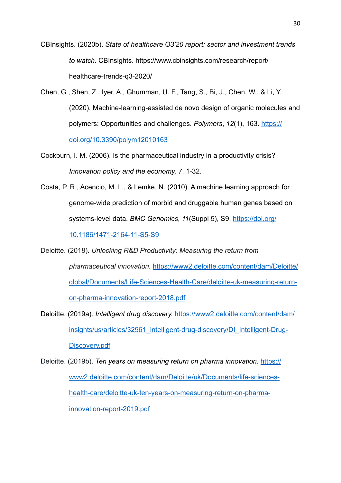CBInsights. (2020b). *State of healthcare Q3'20 report: sector and investment trends to watch*. CBInsights. [https://www.cbinsights.com/research/report/](https://www.cbinsights.com/research/report/healthcare-trends-q3-2020/) [healthcare-trends-q3-2020/](https://www.cbinsights.com/research/report/healthcare-trends-q3-2020/)

Chen, G., Shen, Z., Iyer, A., Ghumman, U. F., Tang, S., Bi, J., Chen, W., & Li, Y. (2020). Machine-learning-assisted de novo design of organic molecules and polymers: Opportunities and challenges. *Polymers*, *12*(1), 163. [https://](https://doi.org/10.3390/polym12010163) [doi.org/10.3390/polym12010163](https://doi.org/10.3390/polym12010163)

Cockburn, I. M. (2006). Is the pharmaceutical industry in a productivity crisis? *Innovation policy and the economy, 7*, 1-32.

Costa, P. R., Acencio, M. L., & Lemke, N. (2010). A machine learning approach for genome-wide prediction of morbid and druggable human genes based on systems-level data. *BMC Genomics*, *11*(Suppl 5), S9. [https://doi.org/](https://doi.org/10.1186/1471-2164-11-S5-S9) [10.1186/1471-2164-11-S5-S9](https://doi.org/10.1186/1471-2164-11-S5-S9)

Deloitte. (2018). *Unlocking R&D Productivity: Measuring the return from pharmaceutical innovation.* [https://www2.deloitte.com/content/dam/Deloitte/](https://www2.deloitte.com/content/dam/Deloitte/global/Documents/Life-Sciences-Health-Care/deloitte-uk-measuring-return-on-pharma-innovation-report-2018.pdf) [global/Documents/Life-Sciences-Health-Care/deloitte-uk-measuring-return](https://www2.deloitte.com/content/dam/Deloitte/global/Documents/Life-Sciences-Health-Care/deloitte-uk-measuring-return-on-pharma-innovation-report-2018.pdf)[on-pharma-innovation-report-2018.pdf](https://www2.deloitte.com/content/dam/Deloitte/global/Documents/Life-Sciences-Health-Care/deloitte-uk-measuring-return-on-pharma-innovation-report-2018.pdf)

Deloitte. (2019a)*. Intelligent drug discovery.* [https://www2.deloitte.com/content/dam/](https://www2.deloitte.com/content/dam/insights/us/articles/32961_intelligent-drug-discovery/DI_Intelligent-Drug-Discovery.pdf) [insights/us/articles/32961\\_intelligent-drug-discovery/DI\\_Intelligent-Drug-](https://www2.deloitte.com/content/dam/insights/us/articles/32961_intelligent-drug-discovery/DI_Intelligent-Drug-Discovery.pdf)[Discovery.pdf](https://www2.deloitte.com/content/dam/insights/us/articles/32961_intelligent-drug-discovery/DI_Intelligent-Drug-Discovery.pdf)

Deloitte. (2019b). *Ten years on measuring return on pharma innovation.* [https://](https://www2.deloitte.com/content/dam/Deloitte/uk/Documents/life-sciences-health-care/deloitte-uk-ten-years-on-measuring-return-on-pharma-innovation-report-2019.pdf) [www2.deloitte.com/content/dam/Deloitte/uk/Documents/life-sciences](https://www2.deloitte.com/content/dam/Deloitte/uk/Documents/life-sciences-health-care/deloitte-uk-ten-years-on-measuring-return-on-pharma-innovation-report-2019.pdf)[health-care/deloitte-uk-ten-years-on-measuring-return-on-pharma](https://www2.deloitte.com/content/dam/Deloitte/uk/Documents/life-sciences-health-care/deloitte-uk-ten-years-on-measuring-return-on-pharma-innovation-report-2019.pdf)[innovation-report-2019.pdf](https://www2.deloitte.com/content/dam/Deloitte/uk/Documents/life-sciences-health-care/deloitte-uk-ten-years-on-measuring-return-on-pharma-innovation-report-2019.pdf)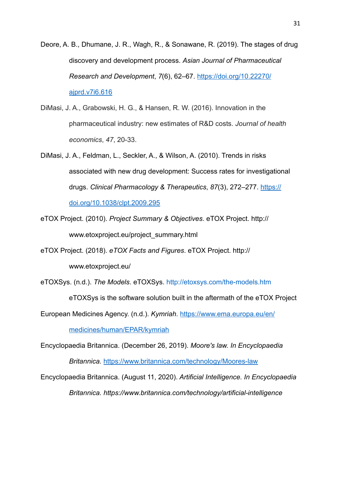Deore, A. B., Dhumane, J. R., Wagh, R., & Sonawane, R. (2019). The stages of drug discovery and development process. *Asian Journal of Pharmaceutical Research and Development*, *7*(6), 62–67. [https://doi.org/10.22270/](https://doi.org/10.22270/ajprd.v7i6.616) [ajprd.v7i6.616](https://doi.org/10.22270/ajprd.v7i6.616)

- DiMasi, J. A., Grabowski, H. G., & Hansen, R. W. (2016). Innovation in the pharmaceutical industry: new estimates of R&D costs. *Journal of health economics*, *47*, 20-33.
- DiMasi, J. A., Feldman, L., Seckler, A., & Wilson, A. (2010). Trends in risks associated with new drug development: Success rates for investigational drugs. *Clinical Pharmacology & Therapeutics*, *87*(3), 272–277. [https://](https://doi.org/10.1038/clpt.2009.295) [doi.org/10.1038/clpt.2009.295](https://doi.org/10.1038/clpt.2009.295)
- eTOX Project. (2010). *Project Summary & Objectives*. eTOX Project. [http://](http://www.etoxproject.eu/project_summary.html) [www.etoxproject.eu/project\\_summary.html](http://www.etoxproject.eu/project_summary.html)
- eTOX Project. (2018). *eTOX Facts and Figures*. eTOX Project. [http://](http://www.etoxproject.eu/project_summary.html) [www.etoxproject.eu/](http://www.etoxproject.eu/project_summary.html)

eTOXSys. (n.d.). *The Models*. eTOXSys.<http://etoxsys.com/the-models.htm>

eTOXSys is the software solution built in the aftermath of the eTOX Project

European Medicines Agency. (n.d.). *Kymriah*. [https://www.ema.europa.eu/en/](https://www.ema.europa.eu/en/medicines/human/EPAR/kymriah)

[medicines/human/EPAR/kymriah](https://www.ema.europa.eu/en/medicines/human/EPAR/kymriah)

Encyclopaedia Britannica. (December 26, 2019). *Moore's law. In Encyclopaedia* 

*Britannica.* <https://www.britannica.com/technology/Moores-law>

Encyclopaedia Britannica. (August 11, 2020). *Artificial Intelligence. In Encyclopaedia Britannica. https://www.britannica.com/technology/artificial-intelligence*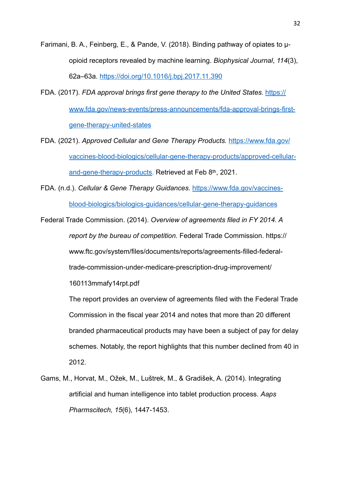Farimani, B. A., Feinberg, E., & Pande, V. (2018). Binding pathway of opiates to µopioid receptors revealed by machine learning. *Biophysical Journal*, *114*(3), 62a–63a. <https://doi.org/10.1016/j.bpj.2017.11.390>

- FDA. (2017). *FDA approval brings first gene therapy to the United States.* [https://](https://www.fda.gov/news-events/press-announcements/fda-approval-brings-first-gene-therapy-united-states) [www.fda.gov/news-events/press-announcements/fda-approval-brings-first](https://www.fda.gov/news-events/press-announcements/fda-approval-brings-first-gene-therapy-united-states)[gene-therapy-united-states](https://www.fda.gov/news-events/press-announcements/fda-approval-brings-first-gene-therapy-united-states)
- FDA. (2021). *Approved Cellular and Gene Therapy Products.* [https://www.fda.gov/](https://www.fda.gov/vaccines-blood-biologics/cellular-gene-therapy-products/approved-cellular-and-gene-therapy-products) [vaccines-blood-biologics/cellular-gene-therapy-products/approved-cellular](https://www.fda.gov/vaccines-blood-biologics/cellular-gene-therapy-products/approved-cellular-and-gene-therapy-products)[and-gene-therapy-products](https://www.fda.gov/vaccines-blood-biologics/cellular-gene-therapy-products/approved-cellular-and-gene-therapy-products). Retrieved at Feb 8th, 2021.
- FDA. (n.d.). *Cellular & Gene Therapy Guidances.* [https://www.fda.gov/vaccines](https://www.fda.gov/vaccines-blood-biologics/biologics-guidances/cellular-gene-therapy-guidances)[blood-biologics/biologics-guidances/cellular-gene-therapy-guidances](https://www.fda.gov/vaccines-blood-biologics/biologics-guidances/cellular-gene-therapy-guidances)

Federal Trade Commission. (2014). *Overview of agreements filed in FY 2014. A report by the bureau of competition.* Federal Trade Commission. [https://](https://www.ftc.gov/system/files/documents/reports/agreements-filled-federal-trade-commission-under-medicare-prescription-drug-improvement/160113mmafy14rpt.pdf) [www.ftc.gov/system/files/documents/reports/agreements-filled-federal](https://www.ftc.gov/system/files/documents/reports/agreements-filled-federal-trade-commission-under-medicare-prescription-drug-improvement/160113mmafy14rpt.pdf)[trade-commission-under-medicare-prescription-drug-improvement/](https://www.ftc.gov/system/files/documents/reports/agreements-filled-federal-trade-commission-under-medicare-prescription-drug-improvement/160113mmafy14rpt.pdf) [160113mmafy14rpt.pdf](https://www.ftc.gov/system/files/documents/reports/agreements-filled-federal-trade-commission-under-medicare-prescription-drug-improvement/160113mmafy14rpt.pdf)

> The report provides an overview of agreements filed with the Federal Trade Commission in the fiscal year 2014 and notes that more than 20 different branded pharmaceutical products may have been a subject of pay for delay schemes. Notably, the report highlights that this number declined from 40 in 2012.

Gams, M., Horvat, M., Ožek, M., Luštrek, M., & Gradišek, A. (2014). Integrating artificial and human intelligence into tablet production process. *Aaps Pharmscitech, 15*(6), 1447-1453.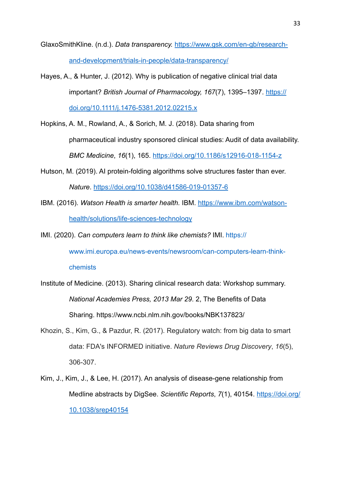GlaxoSmithKline. (n.d.). *Data transparency.* [https://www.gsk.com/en-gb/research](https://www.gsk.com/en-gb/research-and-development/trials-in-people/data-transparency/)[and-development/trials-in-people/data-transparency/](https://www.gsk.com/en-gb/research-and-development/trials-in-people/data-transparency/)

- Hayes, A., & Hunter, J. (2012). Why is publication of negative clinical trial data important? *British Journal of Pharmacology, 167*(7), 1395–1397. [https://](https://doi.org/10.1111/j.1476-5381.2012.02215.x) [doi.org/10.1111/j.1476-5381.2012.02215.x](https://doi.org/10.1111/j.1476-5381.2012.02215.x)
- Hopkins, A. M., Rowland, A., & Sorich, M. J. (2018). Data sharing from pharmaceutical industry sponsored clinical studies: Audit of data availability. *BMC Medicine*, *16*(1), 165. <https://doi.org/10.1186/s12916-018-1154-z>
- Hutson, M. (2019). AI protein-folding algorithms solve structures faster than ever. *Nature*.<https://doi.org/10.1038/d41586-019-01357-6>
- IBM. (2016). *Watson Health is smarter health.* IBM. [https://www.ibm.com/watson](https://www.ibm.com/watson-health/solutions/life-sciences-technology)[health/solutions/life-sciences-technology](https://www.ibm.com/watson-health/solutions/life-sciences-technology)

IMI. (2020). *Can computers learn to think like chemists?* IMI. [https://](https://www.imi.europa.eu/news-events/newsroom/can-computers-learn-think-chemists)

[www.imi.europa.eu/news-events/newsroom/can-computers-learn-think-](https://www.imi.europa.eu/news-events/newsroom/can-computers-learn-think-chemists)

# [chemists](https://www.imi.europa.eu/news-events/newsroom/can-computers-learn-think-chemists)

- Institute of Medicine. (2013). Sharing clinical research data: Workshop summary. *National Academies Press, 2013 Mar 29*. 2, The Benefits of Data Sharing. https://www.ncbi.nlm.nih.gov/books/NBK137823/
- Khozin, S., Kim, G., & Pazdur, R. (2017). Regulatory watch: from big data to smart data: FDA's INFORMED initiative. *Nature Reviews Drug Discovery*, *16*(5), 306-307.
- Kim, J., Kim, J., & Lee, H. (2017). An analysis of disease-gene relationship from Medline abstracts by DigSee. *Scientific Reports*, *7*(1), 40154. [https://doi.org/](https://doi.org/10.1038/srep40154) [10.1038/srep40154](https://doi.org/10.1038/srep40154)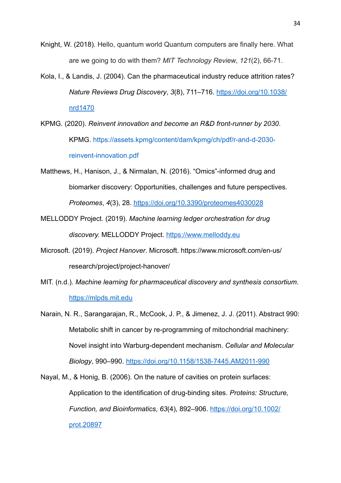- Knight, W. (2018)*.* Hello, quantum world Quantum computers are finally here. What are we going to do with them? *MIT Technology Review*, *121*(2), 66-71.
- Kola, I., & Landis, J. (2004). Can the pharmaceutical industry reduce attrition rates? *Nature Reviews Drug Discovery*, *3*(8), 711–716. [https://doi.org/10.1038/](https://doi.org/10.1038/nrd1470) [nrd1470](https://doi.org/10.1038/nrd1470)
- KPMG. (2020). *Reinvent innovation and become an R&D front-runner by 2030*. KPMG. [https://assets.kpmg/content/dam/kpmg/ch/pdf/r-and-d-2030](https://assets.kpmg/content/dam/kpmg/ch/pdf/r-and-d-2030-reinvent-innovation.pdf) [reinvent-innovation.pdf](https://assets.kpmg/content/dam/kpmg/ch/pdf/r-and-d-2030-reinvent-innovation.pdf)
- Matthews, H., Hanison, J., & Nirmalan, N. (2016). "Omics"-informed drug and biomarker discovery: Opportunities, challenges and future perspectives. *Proteomes*, *4*(3), 28.<https://doi.org/10.3390/proteomes4030028>
- MELLODDY Project. (2019). *Machine learning ledger orchestration for drug discovery.* MELLODDY Project.<https://www.melloddy.eu>
- Microsoft. (2019). *Project Hanover*. Microsoft. https://www.microsoft.com/en-us/ research/project/project-hanover/
- MIT. (n.d.)*. Machine learning for pharmaceutical discovery and synthesis consortium*. <https://mlpds.mit.edu>
- Narain, N. R., Sarangarajan, R., McCook, J. P., & Jimenez, J. J. (2011). Abstract 990: Metabolic shift in cancer by re-programming of mitochondrial machinery: Novel insight into Warburg-dependent mechanism. *Cellular and Molecular Biology*, 990–990. <https://doi.org/10.1158/1538-7445.AM2011-990>
- Nayal, M., & Honig, B. (2006). On the nature of cavities on protein surfaces: Application to the identification of drug-binding sites. *Proteins: Structure, Function, and Bioinformatics*, *63*(4), 892–906. [https://doi.org/10.1002/](https://doi.org/10.1002/prot.20897) [prot.20897](https://doi.org/10.1002/prot.20897)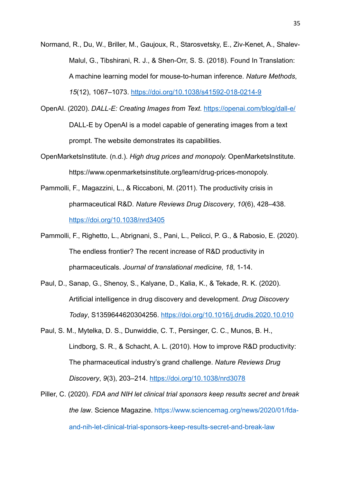Normand, R., Du, W., Briller, M., Gaujoux, R., Starosvetsky, E., Ziv-Kenet, A., Shalev-Malul, G., Tibshirani, R. J., & Shen-Orr, S. S. (2018). Found In Translation: A machine learning model for mouse-to-human inference. *Nature Methods*, *15*(12), 1067–1073. <https://doi.org/10.1038/s41592-018-0214-9>

OpenAI. (2020). *DALL-E: Creating Images from Text*. <https://openai.com/blog/dall-e/> DALL-E by OpenAI is a model capable of generating images from a text prompt. The website demonstrates its capabilities.

- OpenMarketsInstitute. (n.d.). *High drug prices and monopoly.* OpenMarketsInstitute. https://www.openmarketsinstitute.org/learn/drug-prices-monopoly.
- Pammolli, F., Magazzini, L., & Riccaboni, M. (2011). The productivity crisis in pharmaceutical R&D. *Nature Reviews Drug Discovery*, *10*(6), 428–438. <https://doi.org/10.1038/nrd3405>
- Pammolli, F., Righetto, L., Abrignani, S., Pani, L., Pelicci, P. G., & Rabosio, E. (2020). The endless frontier? The recent increase of R&D productivity in pharmaceuticals. *Journal of translational medicine, 18*, 1-14.
- Paul, D., Sanap, G., Shenoy, S., Kalyane, D., Kalia, K., & Tekade, R. K. (2020). Artificial intelligence in drug discovery and development. *Drug Discovery Today*, S1359644620304256. <https://doi.org/10.1016/j.drudis.2020.10.010>
- Paul, S. M., Mytelka, D. S., Dunwiddie, C. T., Persinger, C. C., Munos, B. H., Lindborg, S. R., & Schacht, A. L. (2010). How to improve R&D productivity: The pharmaceutical industry's grand challenge. *Nature Reviews Drug Discovery*, *9*(3), 203–214.<https://doi.org/10.1038/nrd3078>
- Piller, C. (2020). *FDA and NIH let clinical trial sponsors keep results secret and break the law*. Science Magazine. [https://www.sciencemag.org/news/2020/01/fda](https://www.sciencemag.org/news/2020/01/fda-and-nih-let-clinical-trial-sponsors-keep-results-secret-and-break-law)[and-nih-let-clinical-trial-sponsors-keep-results-secret-and-break-law](https://www.sciencemag.org/news/2020/01/fda-and-nih-let-clinical-trial-sponsors-keep-results-secret-and-break-law)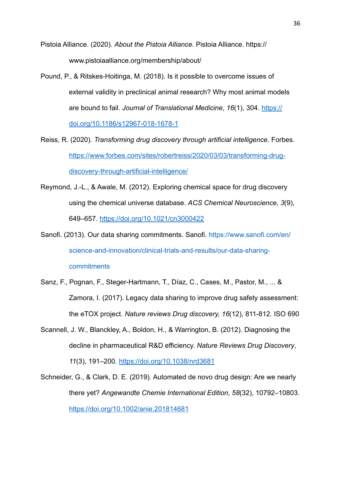Pistoia Alliance. (2020). *About the Pistoia Alliance*. Pistoia Alliance. https:// www.pistoiaalliance.org/membership/about/

- Pound, P., & Ritskes-Hoitinga, M. (2018). Is it possible to overcome issues of external validity in preclinical animal research? Why most animal models are bound to fail. *Journal of Translational Medicine*, *16*(1), 304. [https://](https://doi.org/10.1186/s12967-018-1678-1) [doi.org/10.1186/s12967-018-1678-1](https://doi.org/10.1186/s12967-018-1678-1)
- Reiss, R. (2020). *Transforming drug discovery through artificial intelligence*. Forbes. [https://www.forbes.com/sites/robertreiss/2020/03/03/transforming-drug](https://www.forbes.com/sites/robertreiss/2020/03/03/transforming-drug-discovery-through-artificial-intelligence/)[discovery-through-artificial-intelligence/](https://www.forbes.com/sites/robertreiss/2020/03/03/transforming-drug-discovery-through-artificial-intelligence/)
- Reymond, J.-L., & Awale, M. (2012). Exploring chemical space for drug discovery using the chemical universe database. *ACS Chemical Neuroscience, 3*(9), 649–657. <https://doi.org/10.1021/cn3000422>

Sanofi. (2013). Our data sharing commitments. Sanofi. [https://www.sanofi.com/en/](https://www.sanofi.com/en/science-and-innovation/clinical-trials-and-results/our-data-sharing-commitments) [science-and-innovation/clinical-trials-and-results/our-data-sharing](https://www.sanofi.com/en/science-and-innovation/clinical-trials-and-results/our-data-sharing-commitments)[commitments](https://www.sanofi.com/en/science-and-innovation/clinical-trials-and-results/our-data-sharing-commitments)

- Sanz, F., Pognan, F., Steger-Hartmann, T., Díaz, C., Cases, M., Pastor, M., ... & Zamora, I. (2017). Legacy data sharing to improve drug safety assessment: the eTOX project. *Nature reviews Drug discovery, 16*(12), 811-812. ISO 690
- Scannell, J. W., Blanckley, A., Boldon, H., & Warrington, B. (2012). Diagnosing the decline in pharmaceutical R&D efficiency. *Nature Reviews Drug Discovery*, *11*(3), 191–200. <https://doi.org/10.1038/nrd3681>
- Schneider, G., & Clark, D. E. (2019). Automated de novo drug design: Are we nearly there yet? *Angewandte Chemie International Edition*, *58*(32), 10792–10803. <https://doi.org/10.1002/anie.201814681>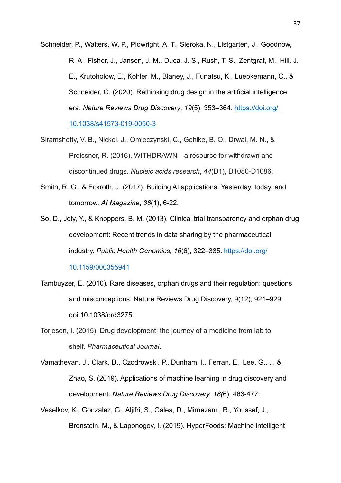Schneider, P., Walters, W. P., Plowright, A. T., Sieroka, N., Listgarten, J., Goodnow, R. A., Fisher, J., Jansen, J. M., Duca, J. S., Rush, T. S., Zentgraf, M., Hill, J. E., Krutoholow, E., Kohler, M., Blaney, J., Funatsu, K., Luebkemann, C., & Schneider, G. (2020). Rethinking drug design in the artificial intelligence era. *Nature Reviews Drug Discovery*, *19*(5), 353–364. [https://doi.org/](https://doi.org/10.1038/s41573-019-0050-3) [10.1038/s41573-019-0050-3](https://doi.org/10.1038/s41573-019-0050-3)

- Siramshetty, V. B., Nickel, J., Omieczynski, C., Gohlke, B. O., Drwal, M. N., & Preissner, R. (2016). WITHDRAWN—a resource for withdrawn and discontinued drugs. *Nucleic acids research*, *44*(D1), D1080-D1086.
- Smith, R. G., & Eckroth, J. (2017). Building AI applications: Yesterday, today, and tomorrow. *AI Magazine*, *38*(1), 6-22.
- So, D., Joly, Y., & Knoppers, B. M. (2013). Clinical trial transparency and orphan drug development: Recent trends in data sharing by the pharmaceutical industry. *Public Health Genomics, 16*(6), 322–335. [https://doi.org/](https://doi.org/10.1159/000355941)

[10.1159/000355941](https://doi.org/10.1159/000355941)

- Tambuyzer, E. (2010). Rare diseases, orphan drugs and their regulation: questions and misconceptions. Nature Reviews Drug Discovery, 9(12), 921–929. doi:10.1038/nrd3275
- Torjesen, I. (2015). Drug development: the journey of a medicine from lab to shelf. *Pharmaceutical Journal*.
- Vamathevan, J., Clark, D., Czodrowski, P., Dunham, I., Ferran, E., Lee, G., ... & Zhao, S. (2019). Applications of machine learning in drug discovery and development. *Nature Reviews Drug Discovery, 18(*6), 463-477.
- Veselkov, K., Gonzalez, G., Aljifri, S., Galea, D., Mirnezami, R., Youssef, J., Bronstein, M., & Laponogov, I. (2019). HyperFoods: Machine intelligent